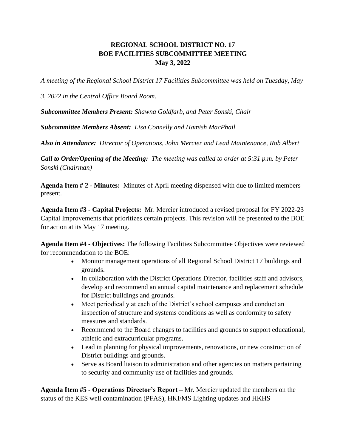## **REGIONAL SCHOOL DISTRICT NO. 17 BOE FACILITIES SUBCOMMITTEE MEETING May 3, 2022**

*A meeting of the Regional School District 17 Facilities Subcommittee was held on Tuesday, May* 

*3, 2022 in the Central Office Board Room.*

*Subcommittee Members Present: Shawna Goldfarb, and Peter Sonski, Chair*

*Subcommittee Members Absent: Lisa Connelly and Hamish MacPhail*

*Also in Attendance: Director of Operations, John Mercier and Lead Maintenance, Rob Albert*

*Call to Order/Opening of the Meeting: The meeting was called to order at 5:31 p.m. by Peter Sonski (Chairman)*

**Agenda Item # 2 - Minutes:** Minutes of April meeting dispensed with due to limited members present.

**Agenda Item #3 - Capital Projects:** Mr. Mercier introduced a revised proposal for FY 2022-23 Capital Improvements that prioritizes certain projects. This revision will be presented to the BOE for action at its May 17 meeting.

**Agenda Item #4 - Objectives:** The following Facilities Subcommittee Objectives were reviewed for recommendation to the BOE:

- Monitor management operations of all Regional School District 17 buildings and grounds.
- In collaboration with the District Operations Director, facilities staff and advisors, develop and recommend an annual capital maintenance and replacement schedule for District buildings and grounds.
- Meet periodically at each of the District's school campuses and conduct an inspection of structure and systems conditions as well as conformity to safety measures and standards.
- Recommend to the Board changes to facilities and grounds to support educational, athletic and extracurricular programs.
- Lead in planning for physical improvements, renovations, or new construction of District buildings and grounds.
- Serve as Board liaison to administration and other agencies on matters pertaining to security and community use of facilities and grounds.

**Agenda Item #5 - Operations Director's Report –** Mr. Mercier updated the members on the status of the KES well contamination (PFAS), HKI/MS Lighting updates and HKHS